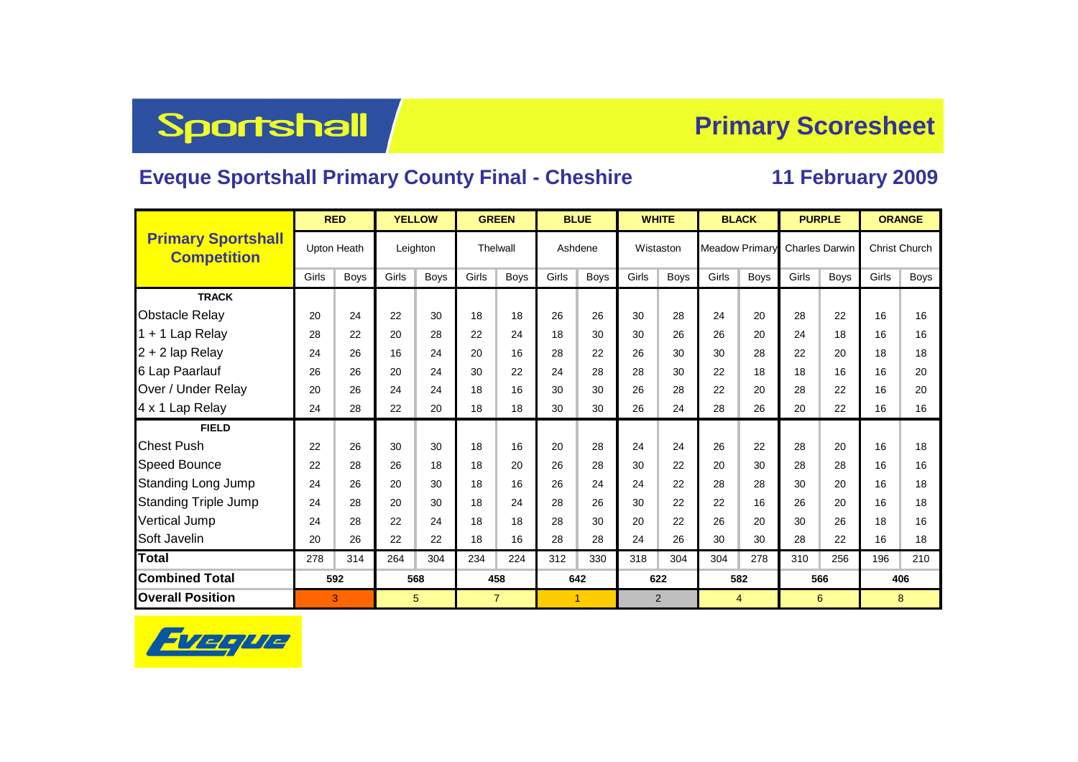## Sportshall

## **Primary Scoresheet**

## **Eveque Sportshall Primary County Final - Cheshire 11 February 2009**

|                                                 |       | <b>RED</b>         |          | <b>YELLOW</b> |                | <b>GREEN</b> |         | <b>BLUE</b> | <b>WHITE</b> |             |       | <b>BLACK</b>          |       | <b>PURPLE</b>         | <b>ORANGE</b>        |      |  |
|-------------------------------------------------|-------|--------------------|----------|---------------|----------------|--------------|---------|-------------|--------------|-------------|-------|-----------------------|-------|-----------------------|----------------------|------|--|
| <b>Primary Sportshall</b><br><b>Competition</b> |       | <b>Upton Heath</b> | Leighton |               | Thelwall       |              | Ashdene |             | Wistaston    |             |       | <b>Meadow Primary</b> |       | <b>Charles Darwin</b> | <b>Christ Church</b> |      |  |
|                                                 | Girls | Boys               | Girls    | <b>Boys</b>   | Girls          | <b>Boys</b>  | Girls   | Boys        | Girls        | <b>Boys</b> | Girls | <b>Boys</b>           | Girls | <b>Boys</b>           | Girls                | Boys |  |
| <b>TRACK</b>                                    |       |                    |          |               |                |              |         |             |              |             |       |                       |       |                       |                      |      |  |
| <b>Obstacle Relay</b>                           | 20    | 24                 | 22       | 30            | 18             | 18           | 26      | 26          | 30           | 28          | 24    | 20                    | 28    | 22                    | 16                   | 16   |  |
| $1 + 1$ Lap Relay                               | 28    | 22                 | 20<br>28 |               | 22             | 24           | 18      | 30          | 30           | 26          | 26    | 20                    | 24    | 18                    | 16                   | 16   |  |
| 2 + 2 lap Relay                                 | 24    | 26                 | 16       | 24            | 20             | 16           | 28      | 22          | 26           | 30          | 30    | 28                    | 22    | 20                    | 18                   | 18   |  |
| 6 Lap Paarlauf                                  | 26    | 26                 | 20       | 24            | 30             | 22           | 24      | 28          | 28           | 30          | 22    | 18                    | 18    | 16                    | 16                   | 20   |  |
| Over / Under Relay                              | 20    | 26                 | 24       | 24            | 18             | 16           | 30      | 30          | 26           | 28          | 22    | 20                    | 28    | 22                    | 16                   | 20   |  |
| 4 x 1 Lap Relay                                 | 24    | 28                 | 22       | 20            | 18             | 18           | 30      | 30          | 26           | 24          | 28    | 26                    | 20    | 22                    | 16                   | 16   |  |
| <b>FIELD</b>                                    |       |                    |          |               |                |              |         |             |              |             |       |                       |       |                       |                      |      |  |
| <b>Chest Push</b>                               | 22    | 26                 | 30       | 30            | 18             | 16           | 20      | 28          | 24           | 24          | 26    | 22                    | 28    | 20                    | 16                   | 18   |  |
| <b>Speed Bounce</b>                             | 22    | 28                 | 26       | 18            | 18             | 20           | 26      | 28          | 30           | 22          | 20    | 30                    | 28    | 28                    | 16                   | 16   |  |
| <b>Standing Long Jump</b>                       | 24    | 26                 | 20       | 30            | 18             | 16           | 26      | 24          | 24           | 22          | 28    | 28                    | 30    | 20                    | 16                   | 18   |  |
| <b>Standing Triple Jump</b>                     | 24    | 28                 | 20       | 30            | 18             | 24           | 28      | 26          | 30           | 22          | 22    | 16                    | 26    | 20                    | 16                   | 18   |  |
| Vertical Jump                                   | 24    | 28                 | 22       | 24            | 18             | 18           | 28      | 30          | 20           | 22          | 26    | 20                    | 30    | 26                    | 18                   | 16   |  |
| Soft Javelin                                    | 20    | 26                 | 22       | 22            | 18             | 16           | 28      | 28          | 24           | 26          | 30    | 30                    | 28    | 22                    | 16                   | 18   |  |
| <b>Total</b>                                    | 278   | 314                | 264      | 304           | 234            | 224          | 312     | 330         | 318          | 304         | 304   | 278                   | 310   | 256                   | 196                  | 210  |  |
| <b>Combined Total</b>                           | 592   |                    | 568      |               | 458            |              | 642     |             | 622          |             |       | 582                   |       | 566                   | 406                  |      |  |
| <b>Overall Position</b>                         |       | 3                  |          | 5             | $\overline{7}$ |              |         | 1           | 2            |             |       | 4                     |       | 6                     | 8                    |      |  |

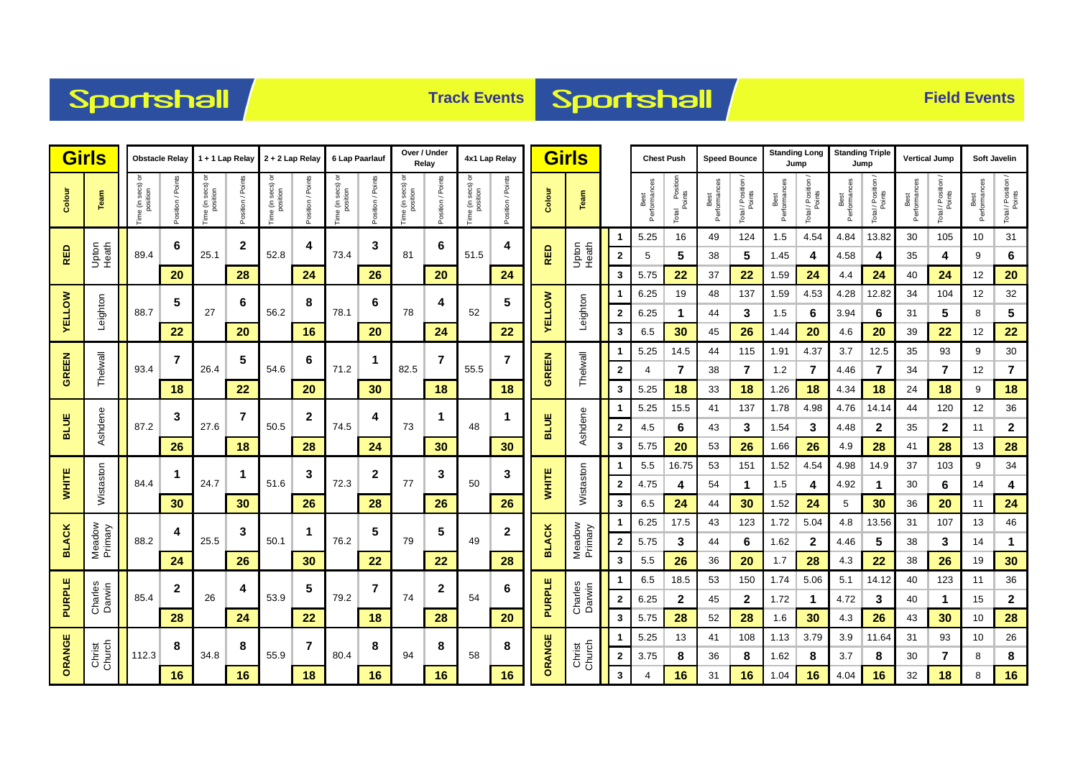



| <b>Girls</b>  | <b>Obstacle Relay</b> |                                  | 1 + 1 Lap Relay 2 + 2 Lap Relay |                       |                   |                                    |                    | 6 Lap Paarlauf     |                     | Over / Under<br>Relay      |                | 4x1 Lap Relay                |                   | <b>Girls</b>  |                   |                  | <b>Speed Bounce</b><br><b>Chest Push</b> |                               |                      | <b>Standing Long</b><br>Jump |                      | <b>Standing Triple</b><br>Jump |                     | <b>Vertical Jump</b>       |                      | Soft Javelin                 |                      |                              |
|---------------|-----------------------|----------------------------------|---------------------------------|-----------------------|-------------------|------------------------------------|--------------------|--------------------|---------------------|----------------------------|----------------|------------------------------|-------------------|---------------|-------------------|------------------|------------------------------------------|-------------------------------|----------------------|------------------------------|----------------------|--------------------------------|---------------------|----------------------------|----------------------|------------------------------|----------------------|------------------------------|
| Colour        | Team                  | ੋ<br>ime (in secs) c<br>position | osition / Points                | ᅙ<br>Time (in secs) o | Position / Points | e (in secs)<br>position<br>ime (in | Points<br>sition / | ᅙ<br>e (in secs) o | Points<br>osition / | e (in secs) or<br>position | Poin<br>tion / | Time (in secs) c<br>position | Position / Points | Colour        | Team              |                  | Best<br>Performances                     | l Position<br>Points<br>Total | Best<br>Performances | Total / Position<br>Points   | Best<br>Performances | Total / Position<br>Points     | Performance<br>Best | Total / Position<br>Points | Best<br>Performances | Total / Position /<br>Points | Best<br>Performances | Total / Position /<br>Points |
|               |                       |                                  | 6                               |                       | $\mathbf{2}$      |                                    | 4                  |                    | 3                   |                            | 6              |                              | 4                 |               |                   |                  | 5.25                                     | 16                            | 49                   | 124                          | 1.5                  | 4.54                           | 4.84                | 13.82                      | 30                   | 105                          | 10                   | 31                           |
| RED           | Upton<br>Heath        | 89.4                             |                                 | 25.1                  |                   | 52.8                               |                    | 73.4               |                     | 81                         |                | 51.5                         |                   | <b>RED</b>    | Upton<br>Heath    | $\mathbf{2}$     | 5                                        | 5                             | 38                   | 5                            | 1.45                 | 4                              | 4.58                | 4                          | 35                   | 4                            | 9                    | 6                            |
|               |                       |                                  | 20                              |                       | 28                |                                    | 24                 |                    | 26                  |                            | 20             |                              | 24                |               |                   | 3                | 5.75                                     | 22                            | 37                   | 22                           | 1.59                 | 24                             | 4.4                 | 24                         | 40                   | 24                           | 12                   | 20                           |
|               |                       |                                  | 5                               |                       | 6                 |                                    | 8                  |                    | 6                   | 4<br>78<br>24              |                |                              | 5                 |               | Leighton          | -1               | 6.25                                     | 19                            | 48                   | 137                          | 1.59                 | 4.53                           | 4.28                | 12.82                      | 34                   | 104                          | 12                   | 32                           |
| <b>AELLOW</b> | Leighton              | 88.7                             |                                 | 27                    |                   | 56.2                               |                    | 78.1               |                     |                            |                | 52                           |                   | <b>AELLOM</b> |                   | $\mathbf{2}$     | 6.25                                     | $\mathbf 1$                   | 44                   | 3                            | 1.5                  | 6                              | 3.94                | 6                          | 31                   | 5                            | 8                    | 5                            |
|               |                       |                                  | 22                              |                       | 20                |                                    | 16                 |                    | 20                  |                            |                |                              | 22                |               |                   | 3                | 6.5                                      | 30                            | 45                   | 26                           | 1.44                 | 20                             | 4.6                 | 20                         | 39                   | 22                           | 12                   | 22                           |
| <b>GREEN</b>  |                       | 93.4                             | 7                               |                       | 5                 |                                    | 6                  |                    | 1                   |                            | 7              | 55.5                         | 7                 |               |                   | -1               | 5.25                                     | 14.5                          | 44                   | 115                          | 1.91                 | 4.37                           | 3.7                 | 12.5                       | 35                   | 93                           | 9                    | 30                           |
|               | Thelwall              |                                  |                                 | 26.4                  |                   | 54.6                               |                    | 71.2               |                     | 82.5                       |                |                              |                   | GREEN         | Thelwall          | $\mathbf{2}$     | 4                                        | $\overline{7}$                | 38                   | $\overline{7}$               | 1.2                  | 7                              | 4.46                | $\overline{7}$             | 34                   | $\overline{7}$               | 12                   | $\overline{7}$               |
|               |                       |                                  | 18                              |                       | 22                |                                    | 20                 |                    | 30                  |                            | 18             |                              | 18                |               |                   | 3                | 5.25                                     | 18                            | 33                   | 18                           | 1.26                 | 18                             | 4.34                | 18                         | 24                   | 18                           | 9                    | 18                           |
| <b>BLUE</b>   |                       |                                  | 3                               |                       | $\overline{7}$    |                                    | $\mathbf{2}$       |                    | 4                   |                            | 1              |                              | 1                 |               |                   | -1               | 5.25                                     | 15.5                          | 41                   | 137                          | 1.78                 | 4.98                           | 4.76                | 14.14                      | 44                   | 120                          | 12                   | 36                           |
|               | Ashdene               | 87.2                             |                                 | 27.6                  |                   | 50.5                               |                    | 74.5               |                     | 73                         |                | 48                           |                   | <b>BLUE</b>   | Ashdene           | $\mathbf{2}$     | 4.5                                      | 6                             | 43                   | 3                            | 1.54                 | 3                              | 4.48                | $\mathbf{2}$               | 35                   | $\mathbf{2}$                 | 11                   | $\mathbf{2}$                 |
|               |                       |                                  | 26                              |                       | 18                |                                    | 28                 |                    | 24                  |                            | 30             |                              | 30                |               |                   | 3                | 5.75                                     | 20                            | 53                   | 26                           | 1.66                 | 26                             | 4.9                 | 28                         | 41                   | 28                           | 13                   | 28                           |
|               |                       |                                  | -1                              |                       | 1                 |                                    | 3                  |                    | $\mathbf{2}$        |                            | 3              |                              | 3<br>26           |               | Wistaston         | -1               | 5.5                                      | 16.75                         | 53                   | 151                          | 1.52                 | 4.54                           | 4.98                | 14.9                       | 37                   | 103                          | 9                    | 34                           |
| <b>WHITE</b>  | Wistaston             | 84.4                             |                                 | 24.7                  |                   | 51.6                               |                    | 72.3               |                     | 77                         |                | 50                           |                   | <b>WHITE</b>  |                   | $\mathbf{2}$     | 4.75                                     | 4                             | 54                   | 1                            | 1.5                  | 4                              | 4.92                | -1                         | 30                   | 6                            | 14                   | 4                            |
|               |                       |                                  | 30                              |                       | 30                |                                    | 26                 |                    | 28                  | 26                         |                |                              |                   |               |                   | 3                | 6.5                                      | 24                            | 44                   | 30                           | 1.52                 | 24                             | 5                   | 30                         | 36                   | 20                           | 11                   | 24                           |
|               |                       |                                  | 4                               | 25.5                  | 3                 |                                    | 1                  |                    | 5                   |                            | 5              | 49                           | $\mathbf 2$       |               | Meadow<br>Primary | -1               | 6.25                                     | 17.5                          | 43                   | 123                          | 1.72                 | 5.04                           | 4.8                 | 13.56                      | 31                   | 107                          | 13                   | 46                           |
| <b>BLACK</b>  | Meadow<br>Primary     | 88.2                             |                                 |                       |                   | 50.1                               |                    | 76.2               |                     | 79                         |                |                              |                   | <b>BLACK</b>  |                   | $\mathbf{2}$     | 5.75                                     | 3                             | 44                   | 6                            | 1.62                 | $\mathbf{2}$                   | 4.46                | 5                          | 38                   | 3                            | 14                   | $\mathbf{1}$                 |
|               |                       |                                  | 24                              |                       | 26                |                                    | 30                 |                    | 22                  |                            | 22             |                              | 28                |               |                   | 3                | 5.5                                      | 26                            | 36                   | 20                           | 1.7                  | 28                             | 4.3                 | 22                         | 38                   | 26                           | 19                   | 30                           |
|               |                       |                                  | $\boldsymbol{2}$                |                       | 4                 |                                    | 5<br>53.9          |                    | 7                   |                            | 2              |                              | 6                 |               |                   | -1               | 6.5                                      | 18.5                          | 53                   | 150                          | 1.74                 | 5.06                           | 5.1                 | 14.12                      | 40                   | 123                          | 11                   | 36                           |
| PURPLE        | Charles<br>Darwin     | 85.4                             |                                 | 26                    |                   |                                    |                    | 79.2               |                     | 74                         |                | 54                           |                   | <b>PURPLE</b> | Charles<br>Darwin | $\mathbf{2}$     | 6.25                                     | $\mathbf{2}$                  | 45                   | $\mathbf{2}$                 | 1.72                 | -1                             | 4.72                | 3                          | 40                   | $\mathbf 1$                  | 15                   | $\mathbf{2}$                 |
|               |                       |                                  | 28                              |                       | 24                |                                    | 22                 |                    | 18                  |                            | 28             |                              | 20                |               |                   | 3                | 5.75                                     | 28                            | 52                   | 28                           | 1.6                  | 30                             | 4.3                 | 26                         | 43                   | 30                           | 10                   | 28                           |
|               |                       |                                  | 8                               |                       | 8                 |                                    | 7                  |                    | 8                   | 8<br>94                    |                |                              | 8                 | ORANGE        | Christ<br>Church  | -1               | 5.25                                     | 13                            | 41                   | 108                          | 1.13                 | 3.79                           | 3.9                 | 11.64                      | 31                   | 93                           | 10                   | 26                           |
| ORANGE        | Christ<br>Church      | 112.3                            |                                 | 34.8                  |                   | 55.9                               |                    | 80.4               |                     |                            |                | 58                           |                   |               |                   | $\boldsymbol{2}$ | 3.75                                     | 8                             | 36                   | 8                            | 1.62                 | 8                              | 3.7                 | 8                          | 30                   | 7                            | 8                    | 8                            |
|               |                       |                                  | 16                              |                       | 16                | 18                                 |                    | 16                 |                     | 16                         |                | 16                           |                   |               | 3                 | 4                | 16                                       | 31                            | 16                   | 1.04                         | 16                   | 4.04                           | 16                  | 32                         | 18                   | 8                            | 16                   |                              |